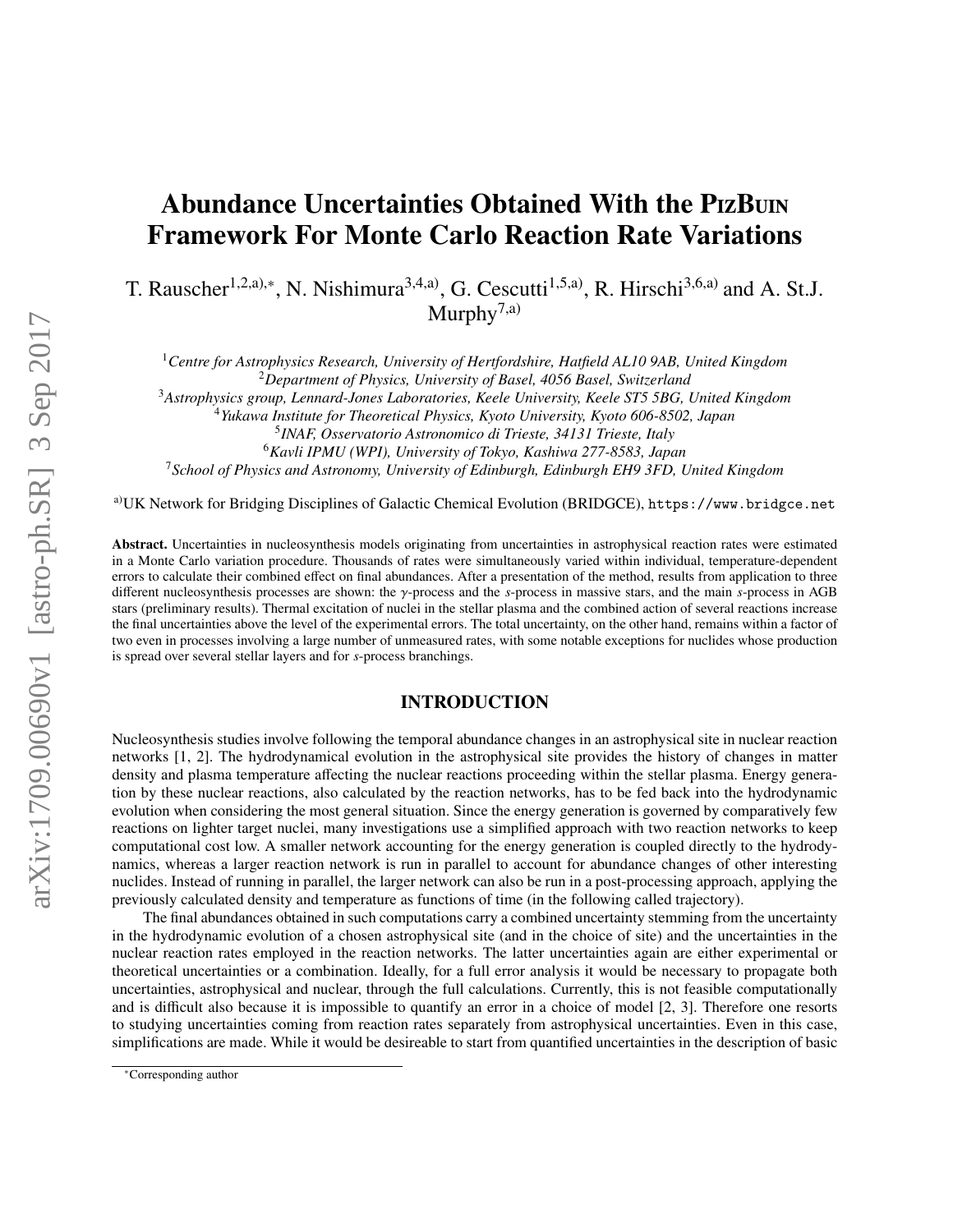# Abundance Uncertainties Obtained With the PizBuin Framework For Monte Carlo Reaction Rate Variations

T. Rauscher<sup>1,2,a),∗</sup>, N. Nishimura<sup>3,4,a)</sup>, G. Cescutti<sup>1,5,a)</sup>, R. Hirschi<sup>3,6,a)</sup> and A. St.J.  $Murphy<sup>7,a)</sup>$ 

<sup>1</sup>*Centre for Astrophysics Research, University of Hertfordshire, Hatfield AL10 9AB, United Kingdom* <sup>2</sup>*Department of Physics, University of Basel, 4056 Basel, Switzerland*

<sup>3</sup>*Astrophysics group, Lennard-Jones Laboratories, Keele University, Keele ST5 5BG, United Kingdom*

<sup>4</sup>*Yukawa Institute for Theoretical Physics, Kyoto University, Kyoto 606-8502, Japan*

5 *INAF, Osservatorio Astronomico di Trieste, 34131 Trieste, Italy*

<sup>6</sup>*Kavli IPMU (WPI), University of Tokyo, Kashiwa 277-8583, Japan*

<sup>7</sup>*School of Physics and Astronomy, University of Edinburgh, Edinburgh EH9 3FD, United Kingdom*

a)UK Network for Bridging Disciplines of Galactic Chemical Evolution (BRIDGCE), https://www.bridgce.net

Abstract. Uncertainties in nucleosynthesis models originating from uncertainties in astrophysical reaction rates were estimated in a Monte Carlo variation procedure. Thousands of rates were simultaneously varied within individual, temperature-dependent errors to calculate their combined effect on final abundances. After a presentation of the method, results from application to three different nucleosynthesis processes are shown: the γ-process and the *<sup>s</sup>*-process in massive stars, and the main *<sup>s</sup>*-process in AGB stars (preliminary results). Thermal excitation of nuclei in the stellar plasma and the combined action of several reactions increase the final uncertainties above the level of the experimental errors. The total uncertainty, on the other hand, remains within a factor of two even in processes involving a large number of unmeasured rates, with some notable exceptions for nuclides whose production is spread over several stellar layers and for *s*-process branchings.

## INTRODUCTION

Nucleosynthesis studies involve following the temporal abundance changes in an astrophysical site in nuclear reaction networks [1, 2]. The hydrodynamical evolution in the astrophysical site provides the history of changes in matter density and plasma temperature affecting the nuclear reactions proceeding within the stellar plasma. Energy generation by these nuclear reactions, also calculated by the reaction networks, has to be fed back into the hydrodynamic evolution when considering the most general situation. Since the energy generation is governed by comparatively few reactions on lighter target nuclei, many investigations use a simplified approach with two reaction networks to keep computational cost low. A smaller network accounting for the energy generation is coupled directly to the hydrodynamics, whereas a larger reaction network is run in parallel to account for abundance changes of other interesting nuclides. Instead of running in parallel, the larger network can also be run in a post-processing approach, applying the previously calculated density and temperature as functions of time (in the following called trajectory).

The final abundances obtained in such computations carry a combined uncertainty stemming from the uncertainty in the hydrodynamic evolution of a chosen astrophysical site (and in the choice of site) and the uncertainties in the nuclear reaction rates employed in the reaction networks. The latter uncertainties again are either experimental or theoretical uncertainties or a combination. Ideally, for a full error analysis it would be necessary to propagate both uncertainties, astrophysical and nuclear, through the full calculations. Currently, this is not feasible computationally and is difficult also because it is impossible to quantify an error in a choice of model [2, 3]. Therefore one resorts to studying uncertainties coming from reaction rates separately from astrophysical uncertainties. Even in this case, simplifications are made. While it would be desireable to start from quantified uncertainties in the description of basic

<sup>∗</sup>Corresponding author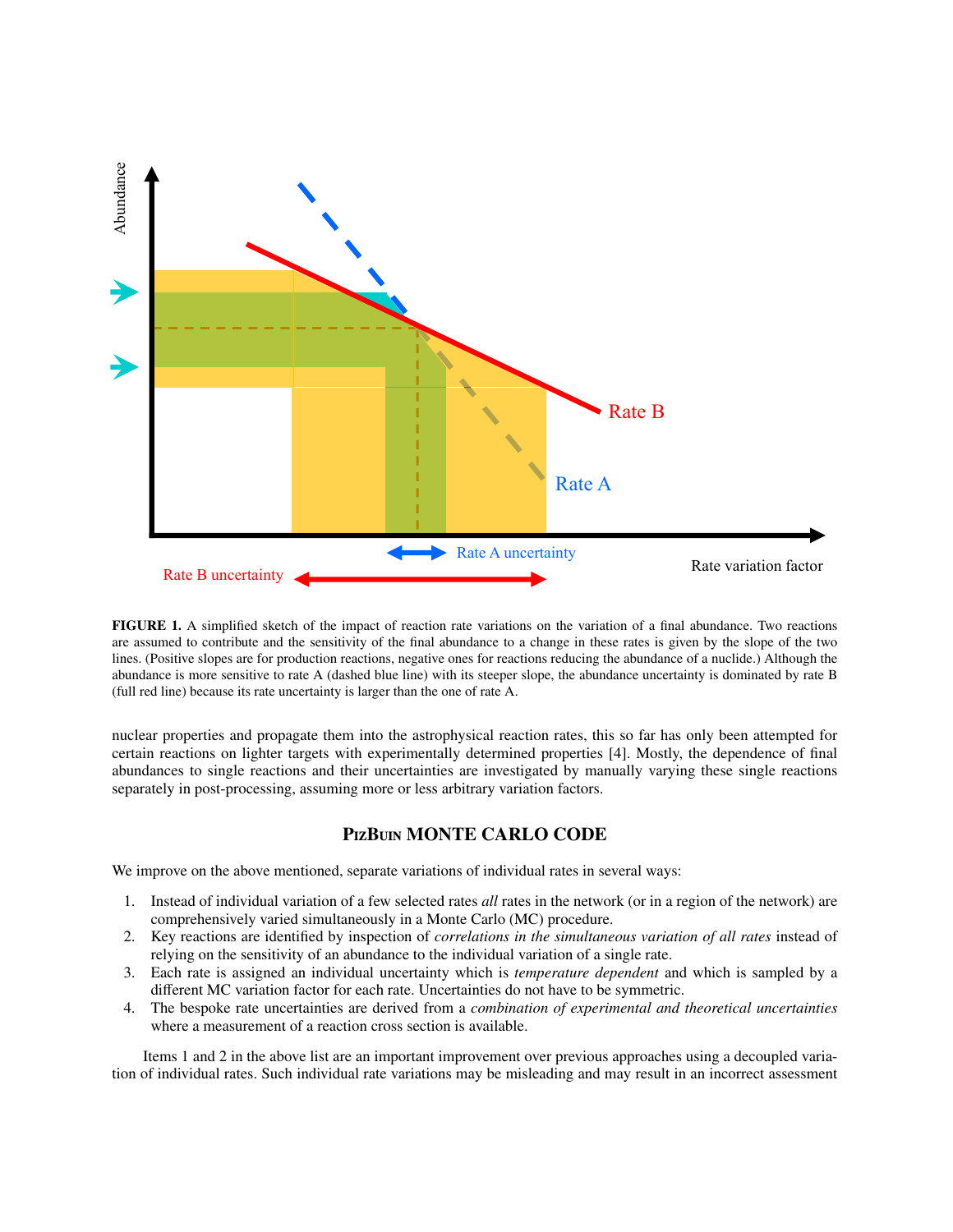

FIGURE 1. A simplified sketch of the impact of reaction rate variations on the variation of a final abundance. Two reactions are assumed to contribute and the sensitivity of the final abundance to a change in these rates is given by the slope of the two lines. (Positive slopes are for production reactions, negative ones for reactions reducing the abundance of a nuclide.) Although the abundance is more sensitive to rate A (dashed blue line) with its steeper slope, the abundance uncertainty is dominated by rate B (full red line) because its rate uncertainty is larger than the one of rate A.

nuclear properties and propagate them into the astrophysical reaction rates, this so far has only been attempted for certain reactions on lighter targets with experimentally determined properties [4]. Mostly, the dependence of final abundances to single reactions and their uncertainties are investigated by manually varying these single reactions separately in post-processing, assuming more or less arbitrary variation factors.

# PizBuin MONTE CARLO CODE

We improve on the above mentioned, separate variations of individual rates in several ways:

- 1. Instead of individual variation of a few selected rates *all* rates in the network (or in a region of the network) are comprehensively varied simultaneously in a Monte Carlo (MC) procedure.
- 2. Key reactions are identified by inspection of *correlations in the simultaneous variation of all rates* instead of relying on the sensitivity of an abundance to the individual variation of a single rate.
- 3. Each rate is assigned an individual uncertainty which is *temperature dependent* and which is sampled by a different MC variation factor for each rate. Uncertainties do not have to be symmetric.
- 4. The bespoke rate uncertainties are derived from a *combination of experimental and theoretical uncertainties* where a measurement of a reaction cross section is available.

Items 1 and 2 in the above list are an important improvement over previous approaches using a decoupled variation of individual rates. Such individual rate variations may be misleading and may result in an incorrect assessment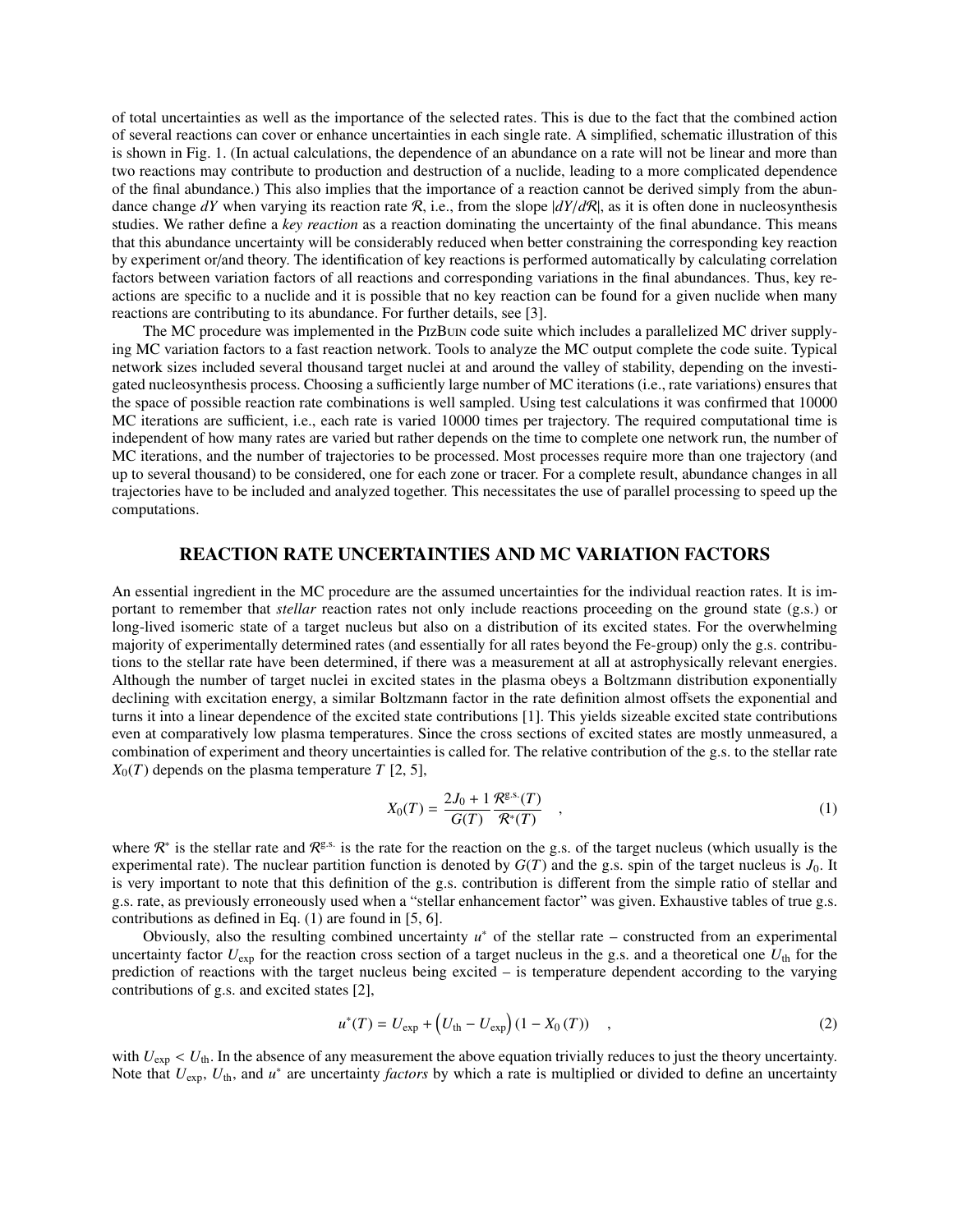of total uncertainties as well as the importance of the selected rates. This is due to the fact that the combined action of several reactions can cover or enhance uncertainties in each single rate. A simplified, schematic illustration of this is shown in Fig. 1. (In actual calculations, the dependence of an abundance on a rate will not be linear and more than two reactions may contribute to production and destruction of a nuclide, leading to a more complicated dependence of the final abundance.) This also implies that the importance of a reaction cannot be derived simply from the abundance change *dY* when varying its reaction rate  $\mathcal{R}$ , i.e., from the slope  $\frac{dY}{d\mathcal{R}}$ , as it is often done in nucleosynthesis studies. We rather define a *key reaction* as a reaction dominating the uncertainty of the final abundance. This means that this abundance uncertainty will be considerably reduced when better constraining the corresponding key reaction by experiment or/and theory. The identification of key reactions is performed automatically by calculating correlation factors between variation factors of all reactions and corresponding variations in the final abundances. Thus, key reactions are specific to a nuclide and it is possible that no key reaction can be found for a given nuclide when many reactions are contributing to its abundance. For further details, see [3].

The MC procedure was implemented in the PizBuin code suite which includes a parallelized MC driver supplying MC variation factors to a fast reaction network. Tools to analyze the MC output complete the code suite. Typical network sizes included several thousand target nuclei at and around the valley of stability, depending on the investigated nucleosynthesis process. Choosing a sufficiently large number of MC iterations (i.e., rate variations) ensures that the space of possible reaction rate combinations is well sampled. Using test calculations it was confirmed that 10000 MC iterations are sufficient, i.e., each rate is varied 10000 times per trajectory. The required computational time is independent of how many rates are varied but rather depends on the time to complete one network run, the number of MC iterations, and the number of trajectories to be processed. Most processes require more than one trajectory (and up to several thousand) to be considered, one for each zone or tracer. For a complete result, abundance changes in all trajectories have to be included and analyzed together. This necessitates the use of parallel processing to speed up the computations.

## REACTION RATE UNCERTAINTIES AND MC VARIATION FACTORS

An essential ingredient in the MC procedure are the assumed uncertainties for the individual reaction rates. It is important to remember that *stellar* reaction rates not only include reactions proceeding on the ground state (g.s.) or long-lived isomeric state of a target nucleus but also on a distribution of its excited states. For the overwhelming majority of experimentally determined rates (and essentially for all rates beyond the Fe-group) only the g.s. contributions to the stellar rate have been determined, if there was a measurement at all at astrophysically relevant energies. Although the number of target nuclei in excited states in the plasma obeys a Boltzmann distribution exponentially declining with excitation energy, a similar Boltzmann factor in the rate definition almost offsets the exponential and turns it into a linear dependence of the excited state contributions [1]. This yields sizeable excited state contributions even at comparatively low plasma temperatures. Since the cross sections of excited states are mostly unmeasured, a combination of experiment and theory uncertainties is called for. The relative contribution of the g.s. to the stellar rate  $X_0(T)$  depends on the plasma temperature *T* [2, 5],

$$
X_0(T) = \frac{2J_0 + 1}{G(T)} \frac{\mathcal{R}^{\text{g.s.}}(T)}{\mathcal{R}^*(T)} , \qquad (1)
$$

where  $\mathcal{R}^*$  is the stellar rate and  $\mathcal{R}^{g.s.}$  is the rate for the reaction on the g.s. of the target nucleus (which usually is the experimental rate). The nuclear partition function is denoted by  $G(T)$  and the g.s. spin of the target nucleus is  $J_0$ . It is very important to note that this definition of the g.s. contribution is different from the simple ratio of stellar and g.s. rate, as previously erroneously used when a "stellar enhancement factor" was given. Exhaustive tables of true g.s. contributions as defined in Eq. (1) are found in [5, 6].

Obviously, also the resulting combined uncertainty  $u^*$  of the stellar rate – constructed from an experimental uncertainty factor  $U_{\text{exp}}$  for the reaction cross section of a target nucleus in the g.s. and a theoretical one  $U_{\text{th}}$  for the prediction of reactions with the target nucleus being excited – is temperature dependent according to the varying contributions of g.s. and excited states [2],

$$
u^*(T) = U_{\exp} + \left(U_{\text{th}} - U_{\exp}\right)(1 - X_0(T)) \quad , \tag{2}
$$

with  $U_{\text{exp}} < U_{\text{th}}$ . In the absence of any measurement the above equation trivially reduces to just the theory uncertainty. Note that  $U_{\text{exp}}$ ,  $U_{\text{th}}$ , and  $u^*$  are uncertainty *factors* by which a rate is multiplied or divided to define an uncertainty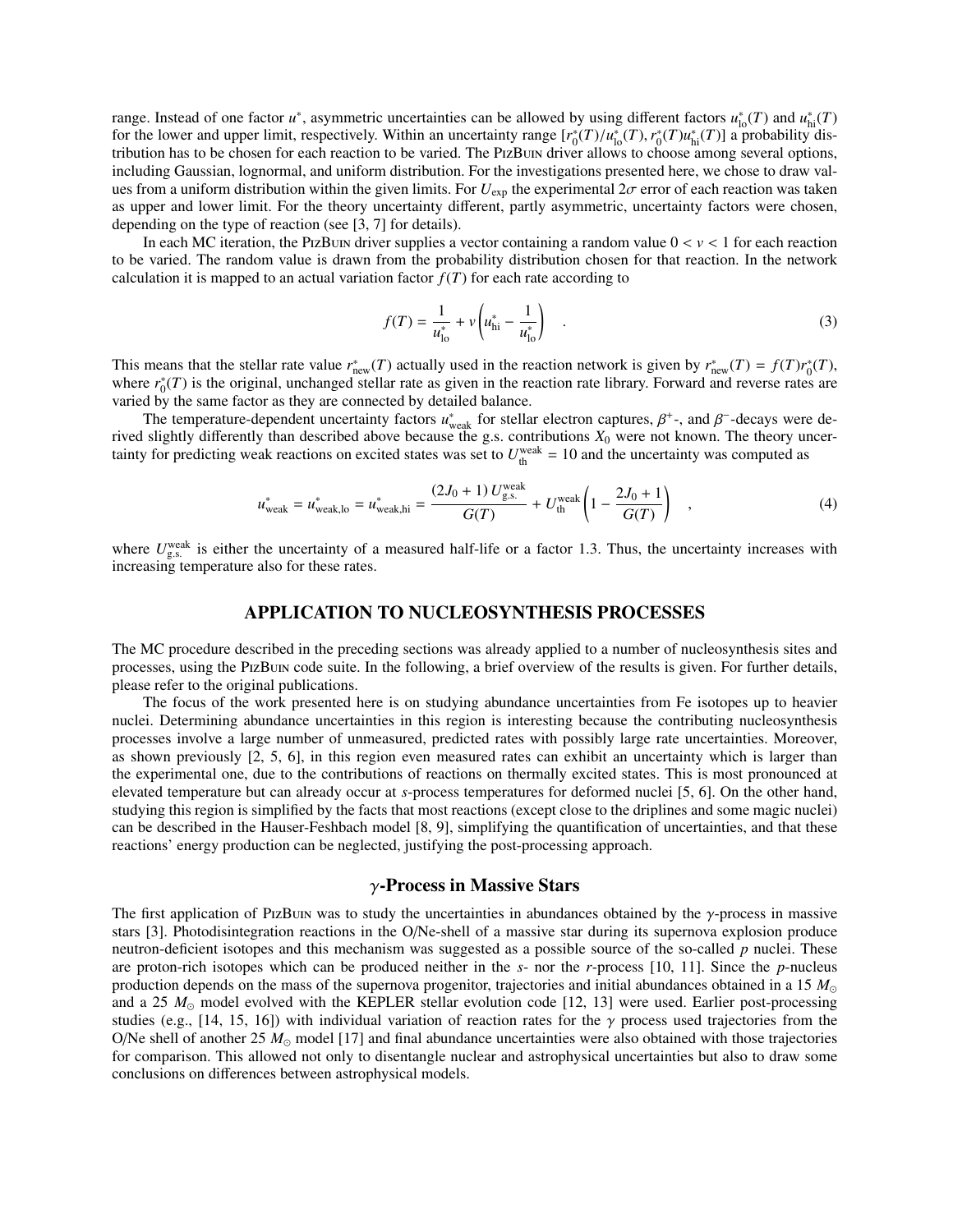range. Instead of one factor  $u^*$ , asymmetric uncertainties can be allowed by using different factors  $u^*_{10}(T)$  and  $u^*_{1i}(T)$ for the lower and upper limit, respectively. Within an uncertainty range  $[r_0^*(T)/u_{\text{lo}}^*(T), r_0^*(T)u_{\text{hi}}^*(T)]$  a probability dis-<br>tribution has to be chosen for each reaction to be varied. The PrzBurn driver allows to ch tribution has to be chosen for each reaction to be varied. The PizBuin driver allows to choose among several options, including Gaussian, lognormal, and uniform distribution. For the investigations presented here, we chose to draw values from a uniform distribution within the given limits. For  $U_{\text{exp}}$  the experimental  $2\sigma$  error of each reaction was taken as upper and lower limit. For the theory uncertainty different, partly asymmetric, uncertainty factors were chosen, depending on the type of reaction (see [3, 7] for details).

In each MC iteration, the PizBuin driver supplies a vector containing a random value  $0 < v < 1$  for each reaction to be varied. The random value is drawn from the probability distribution chosen for that reaction. In the network calculation it is mapped to an actual variation factor  $f(T)$  for each rate according to

$$
f(T) = \frac{1}{u_{\text{lo}}^*} + v \left( u_{\text{hi}}^* - \frac{1}{u_{\text{lo}}^*} \right) \quad . \tag{3}
$$

This means that the stellar rate value  $r_{\text{new}}^*(T)$  actually used in the reaction network is given by  $r_{\text{new}}^*(T) = f(T)r_0^*(T)$ , where  $r_0^*(T)$  is the original, unchanged stellar rate as given in the reaction rate library. Forward and reverse rates are varied by the same factor as they are connected by detailed balance.

The temperature-dependent uncertainty factors  $u_{\text{weak}}^*$  for stellar electron captures,  $\beta^+$ -, and  $\beta^-$ -decays were described above because the g s, contributions  $X_0$  were not known. The theory uncerrived slightly differently than described above because the g.s. contributions  $X_0$  were not known. The theory uncertainty for predicting weak reactions on excited states was set to  $U_{\text{th}}^{\text{weak}} = 10$  and the uncertainty was computed as

$$
u_{\text{weak}}^* = u_{\text{weak,lo}}^* = u_{\text{weak,hi}}^* = \frac{(2J_0 + 1) U_{g.s.}^{\text{weak}}}{G(T)} + U_{\text{th}}^{\text{weak}} \left(1 - \frac{2J_0 + 1}{G(T)}\right) \quad , \tag{4}
$$

where  $U_{\rm g.s.}^{\rm weak}$  is either the uncertainty of a measured half-life or a factor 1.3. Thus, the uncertainty increases with increasing temperature also for these rates increasing temperature also for these rates.

#### APPLICATION TO NUCLEOSYNTHESIS PROCESSES

The MC procedure described in the preceding sections was already applied to a number of nucleosynthesis sites and processes, using the PizBuin code suite. In the following, a brief overview of the results is given. For further details, please refer to the original publications.

The focus of the work presented here is on studying abundance uncertainties from Fe isotopes up to heavier nuclei. Determining abundance uncertainties in this region is interesting because the contributing nucleosynthesis processes involve a large number of unmeasured, predicted rates with possibly large rate uncertainties. Moreover, as shown previously [2, 5, 6], in this region even measured rates can exhibit an uncertainty which is larger than the experimental one, due to the contributions of reactions on thermally excited states. This is most pronounced at elevated temperature but can already occur at *s*-process temperatures for deformed nuclei [5, 6]. On the other hand, studying this region is simplified by the facts that most reactions (except close to the driplines and some magic nuclei) can be described in the Hauser-Feshbach model [8, 9], simplifying the quantification of uncertainties, and that these reactions' energy production can be neglected, justifying the post-processing approach.

#### γ-Process in Massive Stars

The first application of PizBuin was to study the uncertainties in abundances obtained by the γ-process in massive stars [3]. Photodisintegration reactions in the O/Ne-shell of a massive star during its supernova explosion produce neutron-deficient isotopes and this mechanism was suggested as a possible source of the so-called *p* nuclei. These are proton-rich isotopes which can be produced neither in the *s*- nor the *r*-process [10, 11]. Since the *p*-nucleus production depends on the mass of the supernova progenitor, trajectories and initial abundances obtained in a 15 *M* and a 25  $M_{\odot}$  model evolved with the KEPLER stellar evolution code [12, 13] were used. Earlier post-processing studies (e.g., [14, 15, 16]) with individual variation of reaction rates for the  $\gamma$  process used trajectories from the O/Ne shell of another 25  $M_{\odot}$  model [17] and final abundance uncertainties were also obtained with those trajectories for comparison. This allowed not only to disentangle nuclear and astrophysical uncertainties but also to draw some conclusions on differences between astrophysical models.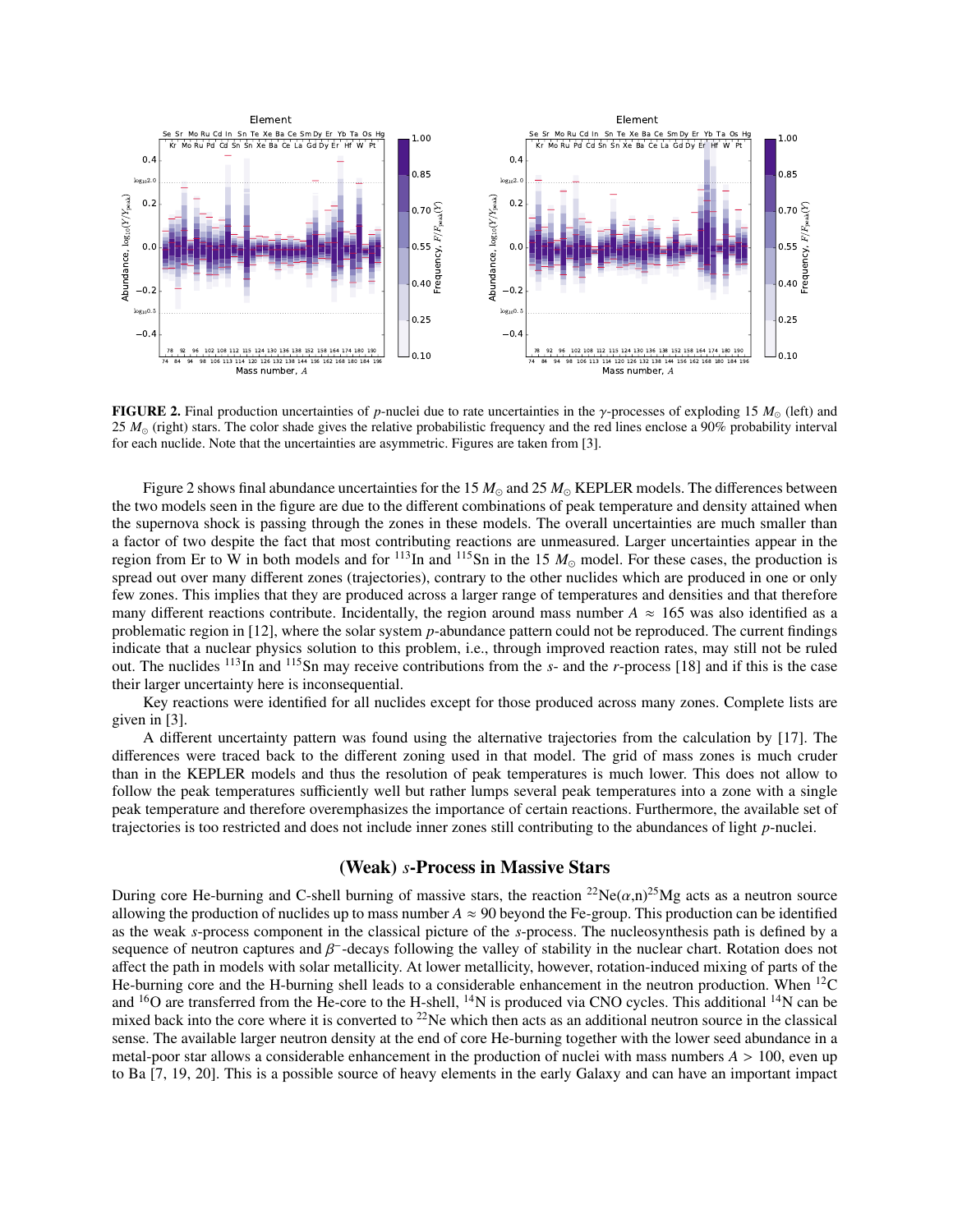

**FIGURE 2.** Final production uncertainties of *p*-nuclei due to rate uncertainties in the γ-processes of exploding 15  $M_{\odot}$  (left) and 25  $M_{\odot}$  (right) stars. The color shade gives the relative probabilistic frequency and the red lines enclose a 90% probability interval for each nuclide. Note that the uncertainties are asymmetric. Figures are taken from [3].

Figure 2 shows final abundance uncertainties for the 15  $M_{\odot}$  and 25  $M_{\odot}$  KEPLER models. The differences between the two models seen in the figure are due to the different combinations of peak temperature and density attained when the supernova shock is passing through the zones in these models. The overall uncertainties are much smaller than a factor of two despite the fact that most contributing reactions are unmeasured. Larger uncertainties appear in the region from Er to W in both models and for  $^{113}$ In and  $^{115}$ Sn in the 15  $M_{\odot}$  model. For these cases, the production is spread out over many different zones (trajectories), contrary to the other nuclides which are produced in one or only few zones. This implies that they are produced across a larger range of temperatures and densities and that therefore many different reactions contribute. Incidentally, the region around mass number  $A \approx 165$  was also identified as a problematic region in [12], where the solar system *p*-abundance pattern could not be reproduced. The current findings indicate that a nuclear physics solution to this problem, i.e., through improved reaction rates, may still not be ruled out. The nuclides <sup>113</sup>In and <sup>115</sup>Sn may receive contributions from the *s*- and the *r*-process [18] and if this is the case their larger uncertainty here is inconsequential.

Key reactions were identified for all nuclides except for those produced across many zones. Complete lists are given in [3].

A different uncertainty pattern was found using the alternative trajectories from the calculation by [17]. The differences were traced back to the different zoning used in that model. The grid of mass zones is much cruder than in the KEPLER models and thus the resolution of peak temperatures is much lower. This does not allow to follow the peak temperatures sufficiently well but rather lumps several peak temperatures into a zone with a single peak temperature and therefore overemphasizes the importance of certain reactions. Furthermore, the available set of trajectories is too restricted and does not include inner zones still contributing to the abundances of light *p*-nuclei.

#### (Weak) *s*-Process in Massive Stars

During core He-burning and C-shell burning of massive stars, the reaction <sup>22</sup>Ne( $\alpha$ ,n)<sup>25</sup>Mg acts as a neutron source allowing the production of nuclides up to mass number  $A \approx 90$  beyond the Fe-group. This production can be identified as the weak *s*-process component in the classical picture of the *s*-process. The nucleosynthesis path is defined by a sequence of neutron captures and  $\beta^-$ -decays following the valley of stability in the nuclear chart. Rotation does not<br>affect the path in models with solar metallicity. At lower metallicity, however, rotation-induced mix affect the path in models with solar metallicity. At lower metallicity, however, rotation-induced mixing of parts of the He-burning core and the H-burning shell leads to a considerable enhancement in the neutron production. When <sup>12</sup>C and <sup>16</sup>O are transferred from the He-core to the H-shell, <sup>14</sup>N is produced via CNO cycles. This additional <sup>14</sup>N can be mixed back into the core where it is converted to  $^{22}$ Ne which then acts as an additional neutron source in the classical sense. The available larger neutron density at the end of core He-burning together with the lower seed abundance in a metal-poor star allows a considerable enhancement in the production of nuclei with mass numbers  $A > 100$ , even up to Ba [7, 19, 20]. This is a possible source of heavy elements in the early Galaxy and can have an important impact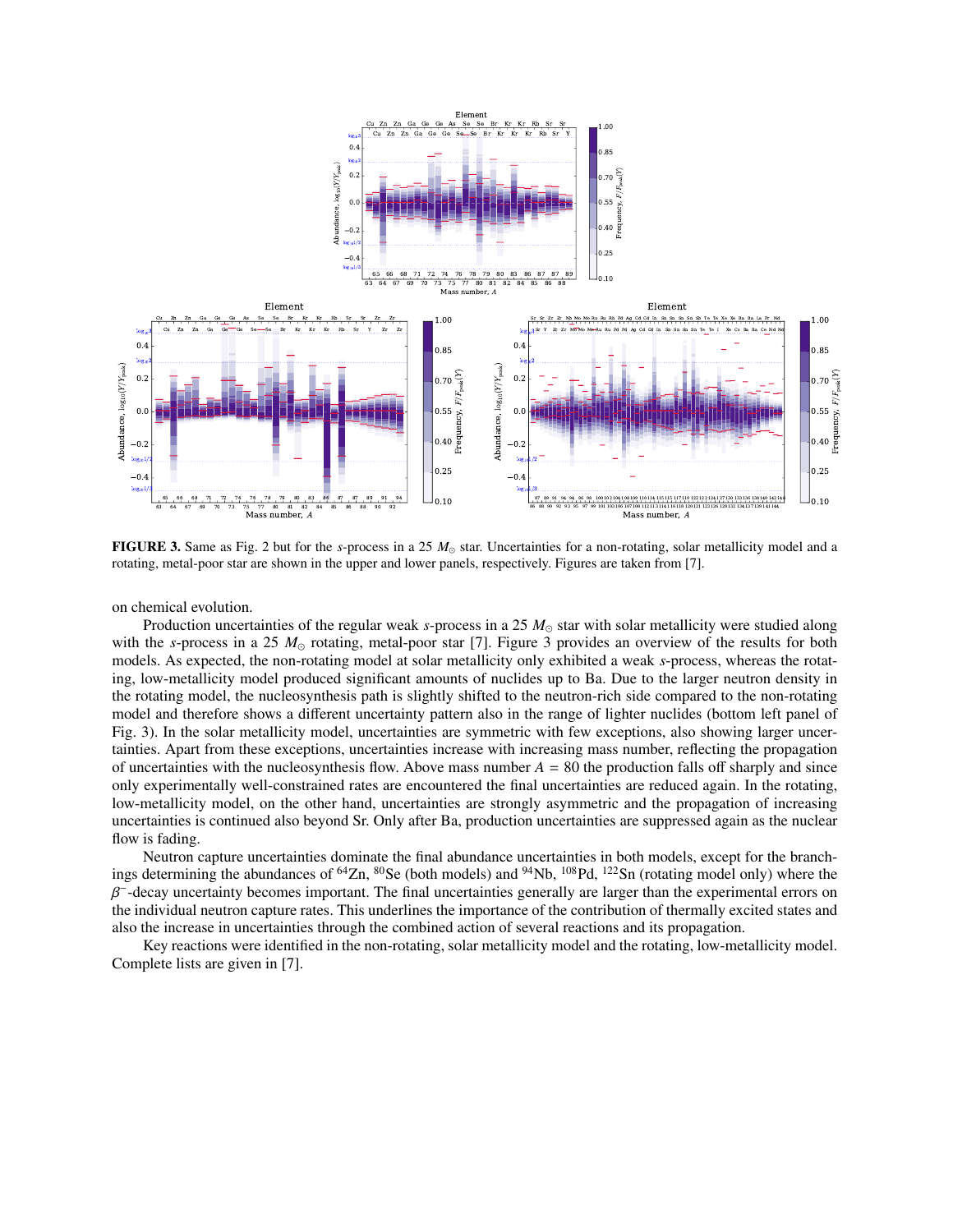

**FIGURE 3.** Same as Fig. 2 but for the *s*-process in a 25  $M_{\odot}$  star. Uncertainties for a non-rotating, solar metallicity model and a rotating, metal-poor star are shown in the upper and lower panels, respectively. Figures are taken from [7].

on chemical evolution.

Production uncertainties of the regular weak *s*-process in a 25  $M_{\odot}$  star with solar metallicity were studied along with the *s*-process in a 25  $M_{\odot}$  rotating, metal-poor star [7]. Figure 3 provides an overview of the results for both models. As expected, the non-rotating model at solar metallicity only exhibited a weak *s*-process, whereas the rotating, low-metallicity model produced significant amounts of nuclides up to Ba. Due to the larger neutron density in the rotating model, the nucleosynthesis path is slightly shifted to the neutron-rich side compared to the non-rotating model and therefore shows a different uncertainty pattern also in the range of lighter nuclides (bottom left panel of Fig. 3). In the solar metallicity model, uncertainties are symmetric with few exceptions, also showing larger uncertainties. Apart from these exceptions, uncertainties increase with increasing mass number, reflecting the propagation of uncertainties with the nucleosynthesis flow. Above mass number  $A = 80$  the production falls off sharply and since only experimentally well-constrained rates are encountered the final uncertainties are reduced again. In the rotating, low-metallicity model, on the other hand, uncertainties are strongly asymmetric and the propagation of increasing uncertainties is continued also beyond Sr. Only after Ba, production uncertainties are suppressed again as the nuclear flow is fading.

Neutron capture uncertainties dominate the final abundance uncertainties in both models, except for the branchings determining the abundances of <sup>64</sup>Zn, <sup>80</sup>Se (both models) and <sup>94</sup>Nb, <sup>108</sup>Pd, <sup>122</sup>Sn (rotating model only) where the the individual neutron capture rates. This underlines the importance of the contribution of thermally excited states and − -decay uncertainty becomes important. The final uncertainties generally are larger than the experimental errors on also the increase in uncertainties through the combined action of several reactions and its propagation.

Key reactions were identified in the non-rotating, solar metallicity model and the rotating, low-metallicity model. Complete lists are given in [7].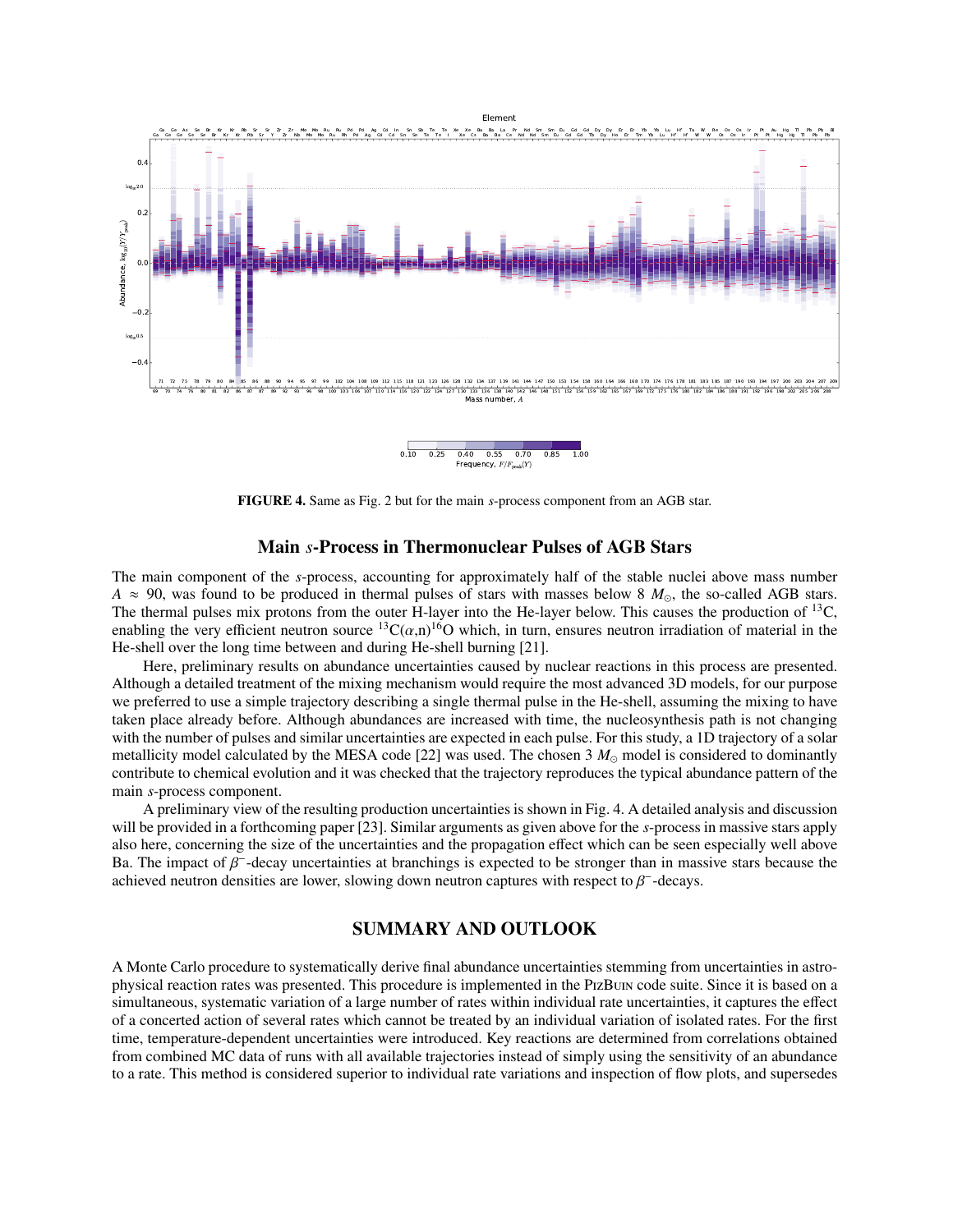

0.10 0.25 0.40 0.55 0.70 0.85 1.00 Frequency,  $F/F_{\text{rest}}(Y)$ 

FIGURE 4. Same as Fig. 2 but for the main *s*-process component from an AGB star.

### Main *s*-Process in Thermonuclear Pulses of AGB Stars

The main component of the *s*-process, accounting for approximately half of the stable nuclei above mass number  $A \approx 90$ , was found to be produced in thermal pulses of stars with masses below 8  $M_{\odot}$ , the so-called AGB stars. The thermal pulses mix protons from the outer H-layer into the He-layer below. This causes the production of <sup>13</sup>C, enabling the very efficient neutron source  ${}^{13}C(\alpha,n){}^{16}O$  which, in turn, ensures neutron irradiation of material in the He-shell over the long time between and during He-shell burning [21].

Here, preliminary results on abundance uncertainties caused by nuclear reactions in this process are presented. Although a detailed treatment of the mixing mechanism would require the most advanced 3D models, for our purpose we preferred to use a simple trajectory describing a single thermal pulse in the He-shell, assuming the mixing to have taken place already before. Although abundances are increased with time, the nucleosynthesis path is not changing with the number of pulses and similar uncertainties are expected in each pulse. For this study, a 1D trajectory of a solar metallicity model calculated by the MESA code [22] was used. The chosen  $3 M_{\odot}$  model is considered to dominantly contribute to chemical evolution and it was checked that the trajectory reproduces the typical abundance pattern of the main *s*-process component.

A preliminary view of the resulting production uncertainties is shown in Fig. 4. A detailed analysis and discussion will be provided in a forthcoming paper [23]. Similar arguments as given above for the *s*-process in massive stars apply also here, concerning the size of the uncertainties and the propagation effect which can be seen especially well above Ba. The impact of  $\beta^-$ -decay uncertainties at branchings is expected to be stronger than in massive stars because the achieved neutron densities are lower slowing down neutron captures with respect to  $\beta^-$ -decays achieved neutron densities are lower, slowing down neutron captures with respect to  $\beta^-$ -decays.

# SUMMARY AND OUTLOOK

A Monte Carlo procedure to systematically derive final abundance uncertainties stemming from uncertainties in astrophysical reaction rates was presented. This procedure is implemented in the PizBuin code suite. Since it is based on a simultaneous, systematic variation of a large number of rates within individual rate uncertainties, it captures the effect of a concerted action of several rates which cannot be treated by an individual variation of isolated rates. For the first time, temperature-dependent uncertainties were introduced. Key reactions are determined from correlations obtained from combined MC data of runs with all available trajectories instead of simply using the sensitivity of an abundance to a rate. This method is considered superior to individual rate variations and inspection of flow plots, and supersedes